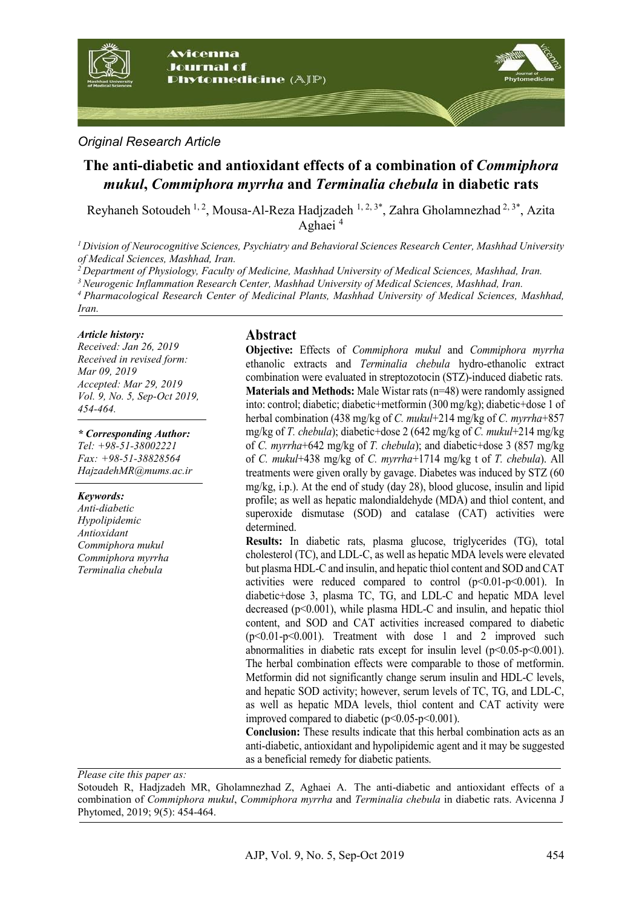

### *Original Research Article*

# **The anti-diabetic and antioxidant effects of a combination of** *Commiphora mukul***,** *Commiphora myrrha* **and** *Terminalia chebula* **in diabetic rats**

Reyhaneh Sotoudeh<sup>1, 2</sup>, Mousa-Al-Reza Hadjzadeh<sup>1, 2, 3\*</sup>, Zahra Gholamnezhad<sup>2, 3\*</sup>, Azita Aghaei 4

*<sup>1</sup> Division of Neurocognitive Sciences, Psychiatry and Behavioral Sciences Research Center, Mashhad University of Medical Sciences, Mashhad, Iran.*

*<sup>2</sup> Department of Physiology, Faculty of Medicine, Mashhad University of Medical Sciences, Mashhad, Iran.*

*3 Neurogenic Inflammation Research Center, Mashhad University of Medical Sciences, Mashhad, Iran.*

*<sup>4</sup> Pharmacological Research Center of Medicinal Plants, Mashhad University of Medical Sciences, Mashhad,* 

#### *Article history:*

*Iran.*

*Received: Jan 26, 2019 Received in revised form: Mar 09, 2019 Accepted: Mar 29, 2019 Vol. 9, No. 5, Sep-Oct 2019, 454-464.*

#### *\* Corresponding Author:*

*Tel: +98-51-38002221 Fax: +98-51-38828564 HajzadehMR@mums.ac.ir*

#### *Keywords:*

*Anti-diabetic Hypolipidemic Antioxidant Commiphora mukul Commiphora myrrha Terminalia chebula*

#### **Abstract**

**Objective:** Effects of *Commiphora mukul* and *Commiphora myrrha* ethanolic extracts and *Terminalia chebula* hydro-ethanolic extract combination were evaluated in streptozotocin (STZ)-induced diabetic rats. **Materials and Methods:** Male Wistar rats (n=48) were randomly assigned into: control; diabetic; diabetic+metformin (300 mg/kg); diabetic+dose 1 of herbal combination (438 mg/kg of *C. mukul*+214 mg/kg of *C. myrrha*+857 mg/kg of *T. chebula*); diabetic+dose 2 (642 mg/kg of *C. mukul*+214 mg/kg of *C. myrrha*+642 mg/kg of *T. chebula*); and diabetic+dose 3 (857 mg/kg of *C. mukul*+438 mg/kg of *C. myrrha*+1714 mg/kg t of *T. chebula*). All treatments were given orally by gavage. Diabetes was induced by STZ (60 mg/kg, i.p.). At the end of study (day 28), blood glucose, insulin and lipid profile; as well as hepatic malondialdehyde (MDA) and thiol content, and superoxide dismutase (SOD) and catalase (CAT) activities were determined.

**Results:** In diabetic rats, plasma glucose, triglycerides (TG), total cholesterol (TC), and LDL-C, as well as hepatic MDA levels were elevated but plasma HDL-C and insulin, and hepatic thiol content and SOD and CAT activities were reduced compared to control  $(p<0.01-p<0.001)$ . In diabetic+dose 3, plasma TC, TG, and LDL-C and hepatic MDA level decreased (p<0.001), while plasma HDL-C and insulin, and hepatic thiol content, and SOD and CAT activities increased compared to diabetic  $(p<0.01-p<0.001)$ . Treatment with dose 1 and 2 improved such abnormalities in diabetic rats except for insulin level  $(p<0.05-p<0.001)$ . The herbal combination effects were comparable to those of metformin. Metformin did not significantly change serum insulin and HDL-C levels, and hepatic SOD activity; however, serum levels of TC, TG, and LDL-C, as well as hepatic MDA levels, thiol content and CAT activity were improved compared to diabetic  $(p<0.05-p<0.001)$ .

**Conclusion:** These results indicate that this herbal combination acts as an anti-diabetic, antioxidant and hypolipidemic agent and it may be suggested as a beneficial remedy for diabetic patients.

*Please cite this paper as:* 

Sotoudeh R, Hadjzadeh MR, Gholamnezhad Z, Aghaei A. The anti-diabetic and antioxidant effects of a combination of *Commiphora mukul*, *Commiphora myrrha* and *Terminalia chebula* in diabetic rats. Avicenna J Phytomed, 2019; 9(5): 454-464.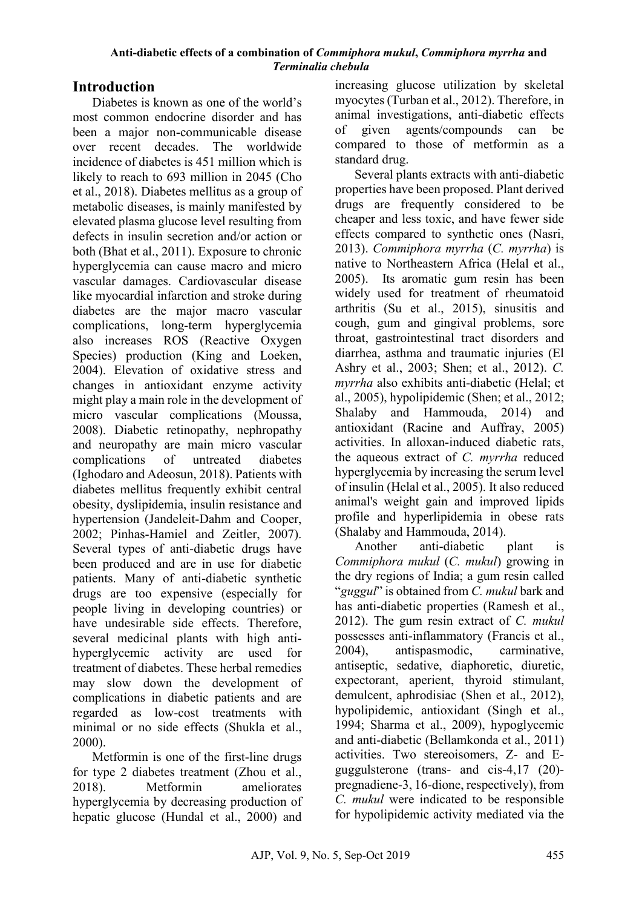## **Introduction**

Diabetes is known as one of the world's most common endocrine disorder and has been a major non-communicable disease over recent decades. The worldwide incidence of diabetes is 451 million which is likely to reach to 693 million in 2045 (Cho et al., 2018). Diabetes mellitus as a group of metabolic diseases, is mainly manifested by elevated plasma glucose level resulting from defects in insulin secretion and/or action or both (Bhat et al., 2011). Exposure to chronic hyperglycemia can cause macro and micro vascular damages. Cardiovascular disease like myocardial infarction and stroke during diabetes are the major macro vascular complications, long-term hyperglycemia also increases ROS (Reactive Oxygen Species) production (King and Loeken, 2004). Elevation of oxidative stress and changes in antioxidant enzyme activity might play a main role in the development of micro vascular complications (Moussa, 2008). Diabetic retinopathy, nephropathy and neuropathy are main micro vascular complications of untreated diabetes (Ighodaro and Adeosun, 2018). Patients with diabetes mellitus frequently exhibit central obesity, dyslipidemia, insulin resistance and hypertension (Jandeleit-Dahm and Cooper, 2002; Pinhas-Hamiel and Zeitler, 2007). Several types of anti-diabetic drugs have been produced and are in use for diabetic patients. Many of anti-diabetic synthetic drugs are too expensive (especially for people living in developing countries) or have undesirable side effects. Therefore, several medicinal plants with high antihyperglycemic activity are used for treatment of diabetes. These herbal remedies may slow down the development of complications in diabetic patients and are regarded as low-cost treatments with minimal or no side effects (Shukla et al., 2000).

Metformin is one of the first-line drugs for type 2 diabetes treatment (Zhou et al., 2018). Metformin ameliorates hyperglycemia by decreasing production of hepatic glucose (Hundal et al., 2000) and

increasing glucose utilization by skeletal myocytes (Turban et al., 2012). Therefore, in animal investigations, anti-diabetic effects of given agents/compounds can be compared to those of metformin as a standard drug.

Several plants extracts with anti-diabetic properties have been proposed. Plant derived drugs are frequently considered to be cheaper and less toxic, and have fewer side effects compared to synthetic ones (Nasri, 2013). *Commiphora myrrha* (*C. myrrha*) is native to Northeastern Africa (Helal et al., 2005). Its aromatic gum resin has been widely used for treatment of rheumatoid arthritis (Su et al., 2015), sinusitis and cough, gum and gingival problems, sore throat, gastrointestinal tract disorders and diarrhea, asthma and traumatic injuries (El Ashry et al., 2003; Shen; et al., 2012). *C. myrrha* also exhibits anti-diabetic (Helal; et al., 2005), hypolipidemic (Shen; et al., 2012; Shalaby and Hammouda, 2014) and antioxidant (Racine and Auffray, 2005) activities. In alloxan-induced diabetic rats, the aqueous extract of *C. myrrha* reduced hyperglycemia by increasing the serum level of insulin (Helal et al., 2005). It also reduced animal's weight gain and improved lipids profile and hyperlipidemia in obese rats (Shalaby and Hammouda, 2014).

Another anti-diabetic plant is *Commiphora mukul* (*C. mukul*) growing in the dry regions of India; a gum resin called "*guggul*" is obtained from *C. mukul* bark and has anti-diabetic properties (Ramesh et al., 2012). The gum resin extract of *C. mukul*  possesses anti-inflammatory (Francis et al., 2004), antispasmodic, carminative, antiseptic, sedative, diaphoretic, diuretic, expectorant, aperient, thyroid stimulant, demulcent, aphrodisiac (Shen et al., 2012), hypolipidemic, antioxidant (Singh et al., 1994; Sharma et al., 2009), hypoglycemic and anti-diabetic (Bellamkonda et al., 2011) activities. Two stereoisomers, Z- and Eguggulsterone (trans- and cis-4,17 (20) pregnadiene-3, 16-dione, respectively), from *C. mukul* were indicated to be responsible for hypolipidemic activity mediated via the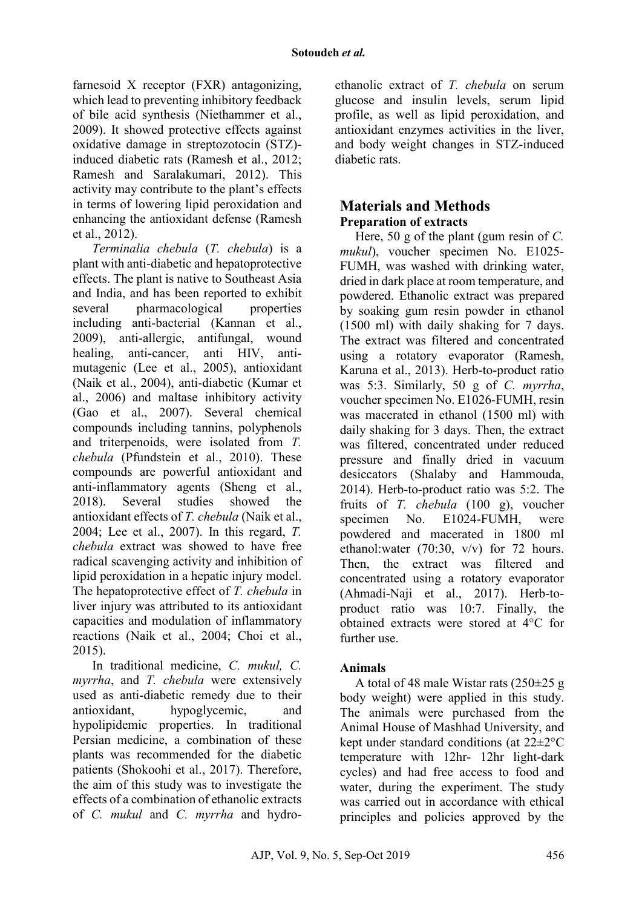farnesoid X receptor (FXR) antagonizing, which lead to preventing inhibitory feedback of bile acid synthesis (Niethammer et al., 2009). It showed protective effects against oxidative damage in streptozotocin (STZ) induced diabetic rats (Ramesh et al., 2012; Ramesh and Saralakumari, 2012). This activity may contribute to the plant's effects in terms of lowering lipid peroxidation and enhancing the antioxidant defense (Ramesh et al., 2012).

*Terminalia chebula* (*T. chebula*) is a plant with anti-diabetic and hepatoprotective effects. The plant is native to Southeast Asia and India, and has been reported to exhibit several pharmacological properties including anti-bacterial (Kannan et al., 2009), anti-allergic, antifungal, wound healing, anti-cancer, anti HIV, antimutagenic (Lee et al., 2005), antioxidant (Naik et al., 2004), anti-diabetic (Kumar et al., 2006) and maltase inhibitory activity (Gao et al., 2007). Several chemical compounds including tannins, polyphenols and triterpenoids, were isolated from *T. chebula* (Pfundstein et al., 2010). These compounds are powerful antioxidant and anti-inflammatory agents (Sheng et al., 2018). Several studies showed the antioxidant effects of *T. chebula* (Naik et al., 2004; Lee et al., 2007). In this regard, *T. chebula* extract was showed to have free radical scavenging activity and inhibition of lipid peroxidation in a hepatic injury model. The hepatoprotective effect of *T. chebula* in liver injury was attributed to its antioxidant capacities and modulation of inflammatory reactions (Naik et al., 2004; Choi et al., 2015).

In traditional medicine, *C. mukul, C. myrrha*, and *T. chebula* were extensively used as anti-diabetic remedy due to their antioxidant, hypoglycemic, and hypolipidemic properties. In traditional Persian medicine, a combination of these plants was recommended for the diabetic patients (Shokoohi et al., 2017). Therefore, the aim of this study was to investigate the effects of a combination of ethanolic extracts of *C. mukul* and *C. myrrha* and hydro-

ethanolic extract of *T. chebula* on serum glucose and insulin levels, serum lipid profile, as well as lipid peroxidation, and antioxidant enzymes activities in the liver, and body weight changes in STZ-induced diabetic rats.

## **Materials and Methods Preparation of extracts**

Here, 50 g of the plant (gum resin of *C. mukul*), voucher specimen No. E1025- FUMH, was washed with drinking water, dried in dark place at room temperature, and powdered. Ethanolic extract was prepared by soaking gum resin powder in ethanol (1500 ml) with daily shaking for 7 days. The extract was filtered and concentrated using a rotatory evaporator (Ramesh, Karuna et al., 2013). Herb-to-product ratio was 5:3. Similarly, 50 g of *C. myrrha*, voucher specimen No. E1026-FUMH, resin was macerated in ethanol (1500 ml) with daily shaking for 3 days. Then, the extract was filtered, concentrated under reduced pressure and finally dried in vacuum desiccators (Shalaby and Hammouda, 2014). Herb-to-product ratio was 5:2. The fruits of *T. chebula* (100 g), voucher specimen No. E1024-FUMH, were powdered and macerated in 1800 ml ethanol: water  $(70:30, v/v)$  for 72 hours. Then, the extract was filtered and concentrated using a rotatory evaporator (Ahmadi-Naji et al., 2017). Herb-toproduct ratio was 10:7. Finally, the obtained extracts were stored at 4°C for further use.

### **Animals**

A total of 48 male Wistar rats (250±25 g body weight) were applied in this study. The animals were purchased from the Animal House of Mashhad University, and kept under standard conditions (at 22±2°C temperature with 12hr- 12hr light-dark cycles) and had free access to food and water, during the experiment. The study was carried out in accordance with ethical principles and policies approved by the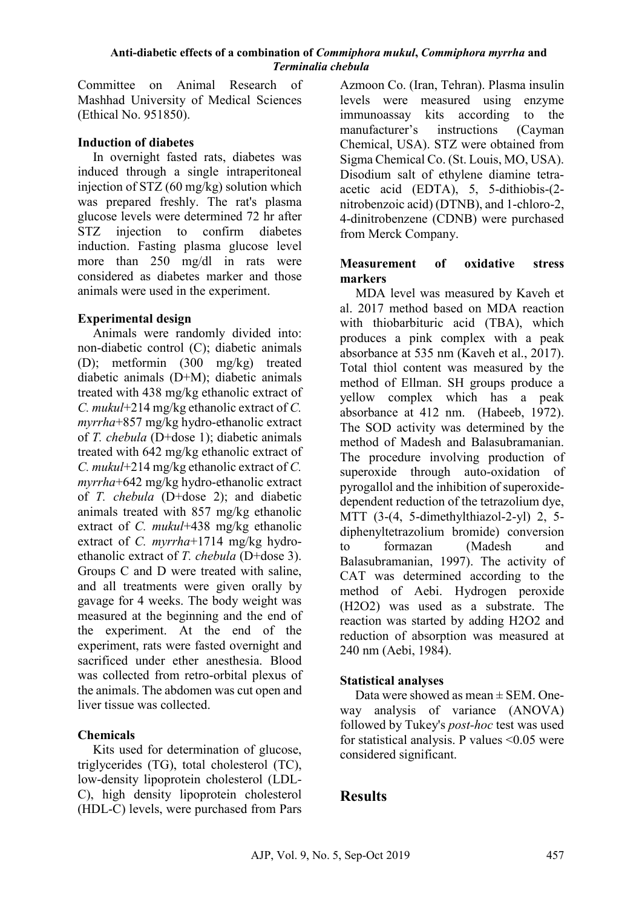Committee on Animal Research of Mashhad University of Medical Sciences (Ethical No. 951850).

### **Induction of diabetes**

In overnight fasted rats, diabetes was induced through a single intraperitoneal injection of STZ (60 mg/kg) solution which was prepared freshly. The rat's plasma glucose levels were determined 72 hr after STZ injection to confirm diabetes induction. Fasting plasma glucose level more than 250 mg/dl in rats were considered as diabetes marker and those animals were used in the experiment.

## **Experimental design**

Animals were randomly divided into: non-diabetic control (C); diabetic animals (D); metformin (300 mg/kg) treated diabetic animals (D+M); diabetic animals treated with 438 mg/kg ethanolic extract of *C. mukul*+214 mg/kg ethanolic extract of *C. myrrha*+857 mg/kg hydro-ethanolic extract of *T. chebula* (D+dose 1); diabetic animals treated with 642 mg/kg ethanolic extract of *C. mukul*+214 mg/kg ethanolic extract of *C. myrrha*+642 mg/kg hydro-ethanolic extract of *T. chebula* (D+dose 2); and diabetic animals treated with 857 mg/kg ethanolic extract of *C. mukul*+438 mg/kg ethanolic extract of *C. myrrha*+1714 mg/kg hydroethanolic extract of *T. chebula* (D+dose 3). Groups C and D were treated with saline, and all treatments were given orally by gavage for 4 weeks. The body weight was measured at the beginning and the end of the experiment. At the end of the experiment, rats were fasted overnight and sacrificed under ether anesthesia. Blood was collected from retro-orbital plexus of the animals. The abdomen was cut open and liver tissue was collected.

### **Chemicals**

Kits used for determination of glucose, triglycerides (TG), total cholesterol (TC), low-density lipoprotein cholesterol (LDL-C), high density lipoprotein cholesterol (HDL-C) levels, were purchased from Pars

Azmoon Co. (Iran, Tehran). Plasma insulin levels were measured using enzyme immunoassay kits according to the manufacturer's instructions (Cayman Chemical, USA). STZ were obtained from Sigma Chemical Co. (St. Louis, MO, USA). Disodium salt of ethylene diamine tetraacetic acid (EDTA), 5, 5-dithiobis-(2 nitrobenzoic acid) (DTNB), and 1-chloro-2, 4-dinitrobenzene (CDNB) were purchased from Merck Company.

### **Measurement of oxidative stress markers**

MDA level was measured by Kaveh et al. 2017 method based on MDA reaction with thiobarbituric acid (TBA), which produces a pink complex with a peak absorbance at 535 nm [\(Kaveh et al., 2017\)](#page-9-0). Total thiol content was measured by the method of Ellman. SH groups produce a yellow complex which has a peak absorbance at 412 nm. [\(Habeeb, 1972\)](#page-9-1). The SOD activity was determined by the method of Madesh and Balasubramanian. The procedure involving production of superoxide through auto-oxidation of pyrogallol and the inhibition of superoxidedependent reduction of the tetrazolium dye, MTT (3-(4, 5-dimethylthiazol-2-yl) 2, 5 diphenyltetrazolium bromide) conversion to formazan [\(Madesh and](#page-9-2)  [Balasubramanian, 1997\)](#page-9-2). The activity of CAT was determined according to the method of Aebi. Hydrogen peroxide (H2O2) was used as a substrate. The reaction was started by adding H2O2 and reduction of absorption was measured at 240 nm [\(Aebi, 1984\)](#page-8-0).

### **Statistical analyses**

Data were showed as mean ± SEM. Oneway analysis of variance (ANOVA) followed by Tukey's *post-hoc* test was used for statistical analysis. P values <0.05 were considered significant.

# **Results**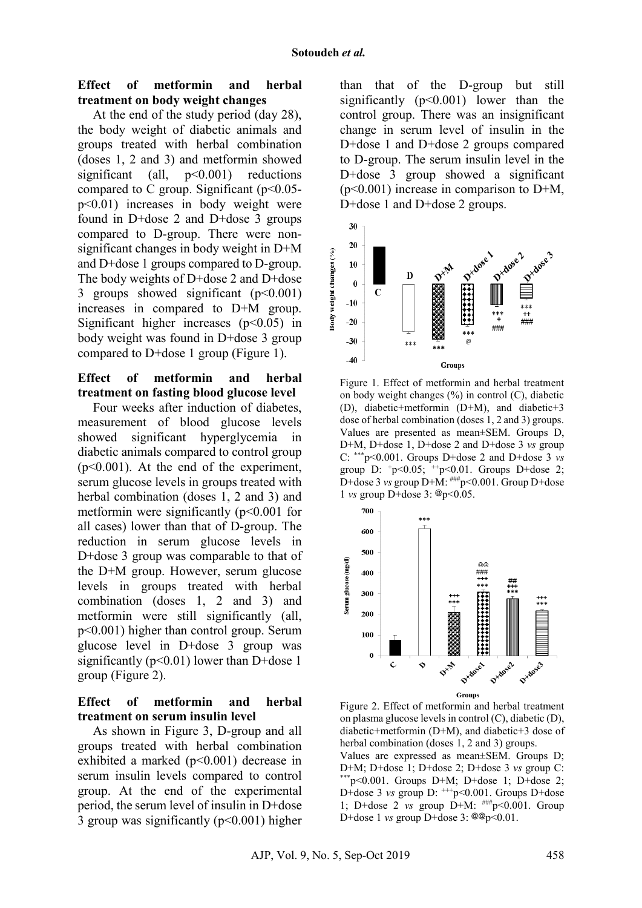### **Effect of metformin and herbal treatment on body weight changes**

At the end of the study period (day 28), the body weight of diabetic animals and groups treated with herbal combination (doses 1, 2 and 3) and metformin showed significant (all,  $p<0.001$ ) reductions compared to C group. Significant  $(p<0.05$ p<0.01) increases in body weight were found in D+dose 2 and D+dose 3 groups compared to D-group. There were nonsignificant changes in body weight in D+M and D+dose 1 groups compared to D-group. The body weights of D+dose 2 and D+dose 3 groups showed significant  $(p<0.001)$ increases in compared to D+M group. Significant higher increases  $(p<0.05)$  in body weight was found in D+dose 3 group compared to D+dose 1 group (Figure 1).

#### **Effect of metformin and herbal treatment on fasting blood glucose level**

Four weeks after induction of diabetes, measurement of blood glucose levels showed significant hyperglycemia in diabetic animals compared to control group  $(p<0.001)$ . At the end of the experiment, serum glucose levels in groups treated with herbal combination (doses 1, 2 and 3) and metformin were significantly  $(p<0.001$  for all cases) lower than that of D-group. The reduction in serum glucose levels in D+dose 3 group was comparable to that of the D+M group. However, serum glucose levels in groups treated with herbal combination (doses 1, 2 and 3) and metformin were still significantly (all, p<0.001) higher than control group. Serum glucose level in D+dose 3 group was significantly ( $p<0.01$ ) lower than D+dose 1 group (Figure 2).

### **Effect of metformin and herbal treatment on serum insulin level**

As shown in Figure 3, D-group and all groups treated with herbal combination exhibited a marked (p<0.001) decrease in serum insulin levels compared to control group. At the end of the experimental period, the serum level of insulin in D+dose 3 group was significantly  $(p<0.001)$  higher

than that of the D-group but still significantly  $(p<0.001)$  lower than the control group. There was an insignificant change in serum level of insulin in the D+dose 1 and D+dose 2 groups compared to D-group. The serum insulin level in the D+dose 3 group showed a significant  $(p<0.001)$  increase in comparison to D+M, D+dose 1 and D+dose 2 groups.



Figure 1. Effect of metformin and herbal treatment on body weight changes  $(\%)$  in control  $(C)$ , diabetic (D), diabetic+metformin (D+M), and diabetic+3 dose of herbal combination (doses 1, 2 and 3) groups. Values are presented as mean±SEM. Groups D, D+M, D+dose 1, D+dose 2 and D+dose 3 *vs* group C: \*\*\*p<0.001. Groups D+dose 2 and D+dose 3 *vs* group D:  $+p<0.05$ ;  $+p<0.01$ . Groups D+dose 2; D+dose 3 *vs* group D+M:  $\frac{1}{2}$  +  $\frac{1}{2}$  +  $\frac{1}{2}$  +  $\frac{1}{2}$  +  $\frac{1}{2}$  +  $\frac{1}{2}$  +  $\frac{1}{2}$  +  $\frac{1}{2}$  +  $\frac{1}{2}$  +  $\frac{1}{2}$  +  $\frac{1}{2}$  +  $\frac{1}{2}$  +  $\frac{1}{2}$  +  $\frac{1}{2}$  +  $\frac{1}{2}$  +  $\frac{1}{2}$  +  $\frac{1$ 1 *vs* group D+dose 3: @p<0.05.



Figure 2. Effect of metformin and herbal treatment on plasma glucose levels in control (C), diabetic (D), diabetic+metformin (D+M), and diabetic+3 dose of herbal combination (doses 1, 2 and 3) groups. Values are expressed as mean±SEM. Groups D; D+M; D+dose 1; D+dose 2; D+dose 3 *vs* group C:<br>\*\*\*p<0.001. Groups D+M; D+dose 1; D+dose 2; D+dose 3 *vs* group D:  $^{++}p$  < 0.001. Groups D+dose 1; D+dose 2 *vs* group D+M: ###p<0.001. Group D+dose 1 *vs* group D+dose 3: @@p<0.01.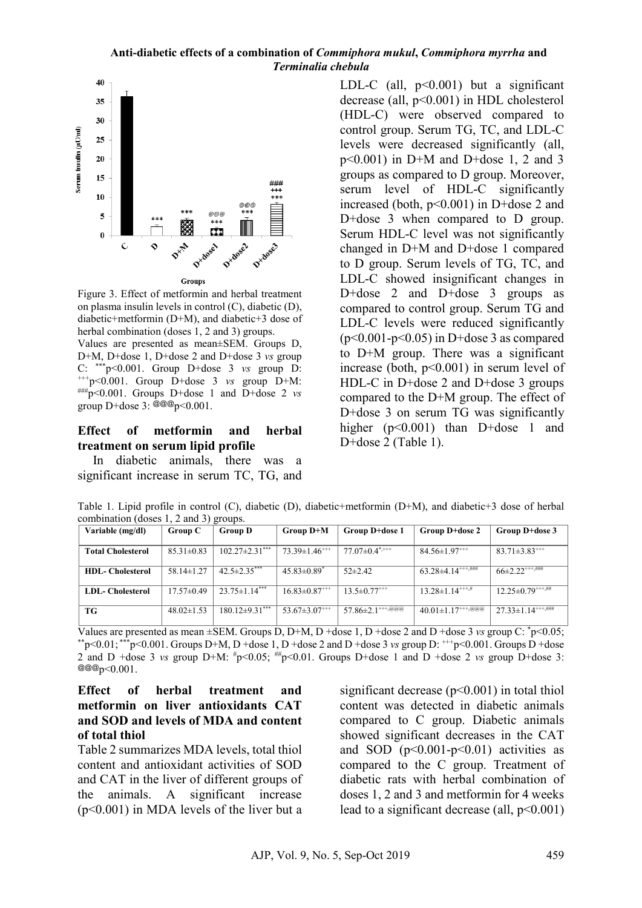

Figure 3. Effect of metformin and herbal treatment on plasma insulin levels in control (C), diabetic (D), diabetic+metformin (D+M), and diabetic+3 dose of herbal combination (doses 1, 2 and 3) groups.

Values are presented as mean±SEM. Groups D, D+M, D+dose 1, D+dose 2 and D+dose 3 *vs* group<br>C: \*\*\*p<0.001. Group D+dose 3 *vs* group D: +++p<0.001. Group D+dose 3 *vs* group D+M:<br>  $\frac{\text{mm}}{\text{m}}$  = 0.001. Groups D+dose 1 and D+dose 2 *vs* group D+dose  $3: @ @ @p<0.001$ .

### **Effect of metformin and herbal treatment on serum lipid profile**

In diabetic animals, there was a significant increase in serum TC, TG, and LDL-C (all,  $p<0.001$ ) but a significant decrease (all, p<0.001) in HDL cholesterol (HDL-C) were observed compared to control group. Serum TG, TC, and LDL-C levels were decreased significantly (all,  $p<0.001$ ) in D+M and D+dose 1, 2 and 3 groups as compared to D group. Moreover, serum level of HDL-C significantly increased (both, p<0.001) in D+dose 2 and D+dose 3 when compared to D group. Serum HDL-C level was not significantly changed in D+M and D+dose 1 compared to D group. Serum levels of TG, TC, and LDL-C showed insignificant changes in D+dose 2 and D+dose 3 groups as compared to control group. Serum TG and LDL-C levels were reduced significantly  $(p<0.001-p<0.05)$  in D+dose 3 as compared to D+M group. There was a significant increase (both, p<0.001) in serum level of HDL-C in D+dose 2 and D+dose 3 groups compared to the D+M group. The effect of D+dose 3 on serum TG was significantly higher (p<0.001) than D+dose 1 and D+dose 2 (Table 1).

Table 1. Lipid profile in control (C), diabetic (D), diabetic+metformin (D+M), and diabetic+3 dose of herbal combination (doses 1, 2 and 3) groups.

| Variable (mg/dl)         | Group C          | <b>Group D</b>                  | Group D+M                       | Group D+dose 1                     | <b>Group D+dose 2</b>                                      | Group D+dose 3                               |
|--------------------------|------------------|---------------------------------|---------------------------------|------------------------------------|------------------------------------------------------------|----------------------------------------------|
|                          |                  |                                 |                                 |                                    |                                                            |                                              |
| <b>Total Cholesterol</b> | $85.31 \pm 0.83$ | $102.27 \pm 2.31$ ***           | $73.39 \pm 1.46$ <sup>***</sup> | $77.07\pm0.4$ <sup>**+++</sup>     | $84.56 \pm 1.97$ <sup>+++</sup>                            | $83.71 \pm 3.83$ <sup>****</sup>             |
| <b>HDL-</b> Cholesterol  | $58.14 \pm 1.27$ | $42.5 \pm 2.35$ ***             | $45.83 \pm 0.89$ <sup>*</sup>   | $52\pm2.42$                        | $63.28 \pm 4.14$ <sup>+++<math>\frac{1}{1000}</math></sup> | $66\pm2.22$ <sup>+++,###</sup>               |
| <b>LDL-</b> Cholesterol  | $17.57 \pm 0.49$ | $23.75 \pm 1.14$ <sup>***</sup> | $16.83 \pm 0.87$ <sup>***</sup> | $13.5 \pm 0.77$ <sup>+++</sup>     | $13.28 \pm 1.14^{+++,\#}$                                  | $12.25 \pm 0.79$ $***$ $\mu$                 |
| TG                       | $48.02 \pm 1.53$ | $180.12\pm9.31***$              | $53.67 \pm 3.07$ <sup>+++</sup> | $57.86 \pm 2.1$ <sup>+++,@@@</sup> | $40.01 \pm 1.17***$                                        | $27.33 \pm 1.14^{+++,\overline{\text{#HH}}}$ |

Values are presented as mean ±SEM. Groups D, D+M, D +dose 1, D +dose 2 and D +dose 3 *vs* group C: \* Values are presented as mean ±SEM. Groups D, D+M, D +dose 1, D +dose 2 and D +dose 3 *vs* group C: \*p<0.05;<br>\*\*p<0.01; \*\*\*p<0.001. Groups D+M, D +dose 1, D +dose 2 and D +dose 3 *vs* group D: <sup>+++</sup>p<0.001. Groups D +dose 2 and D +dose 3 *vs* group D+M:  $\#p<0.05$ ;  $\#p<0.01$ . Groups D+dose 1 and D +dose 2 *vs* group D+dose 3:  $@@@p<0.001$ .

#### **Effect of herbal treatment and metformin on liver antioxidants CAT and SOD and levels of MDA and content of total thiol**

Table 2 summarizes MDA levels, total thiol content and antioxidant activities of SOD and CAT in the liver of different groups of the animals. A significant increase (p<0.001) in MDA levels of the liver but a

significant decrease (p<0.001) in total thiol content was detected in diabetic animals compared to C group. Diabetic animals showed significant decreases in the CAT and SOD  $(p<0.001-p<0.01)$  activities as compared to the C group. Treatment of diabetic rats with herbal combination of doses 1, 2 and 3 and metformin for 4 weeks lead to a significant decrease (all,  $p \le 0.001$ )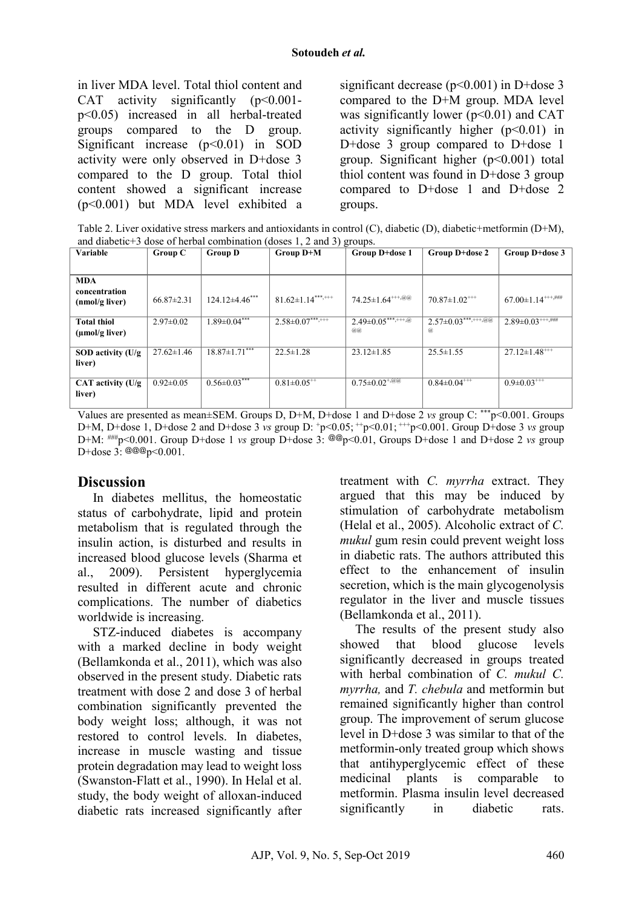in liver MDA level. Total thiol content and CAT activity significantly  $(p<0.001$ p<0.05) increased in all herbal-treated groups compared to the D group. Significant increase  $(p<0.01)$  in SOD activity were only observed in D+dose 3 compared to the D group. Total thiol content showed a significant increase (p<0.001) but MDA level exhibited a

significant decrease (p<0.001) in D+dose 3 compared to the D+M group. MDA level was significantly lower  $(p<0.01)$  and CAT activity significantly higher  $(p<0.01)$  in D+dose 3 group compared to D+dose 1 group. Significant higher  $(p<0.001)$  total thiol content was found in D+dose 3 group compared to D+dose 1 and D+dose 2 groups.

Table 2. Liver oxidative stress markers and antioxidants in control (C), diabetic (D), diabetic+metformin (D+M), and diabetic+3 dose of herbal combination (doses 1, 2 and 3) groups.

|                                                  |                  |                      | $\frac{1}{2}$                 |                                    |                                  |                                    |
|--------------------------------------------------|------------------|----------------------|-------------------------------|------------------------------------|----------------------------------|------------------------------------|
| <b>Variable</b>                                  | Group C          | <b>Group D</b>       | Group D+M                     | Group D+dose 1                     | Group D+dose 2                   | Group D+dose 3                     |
|                                                  |                  |                      |                               |                                    |                                  |                                    |
| <b>MDA</b>                                       |                  |                      |                               |                                    |                                  |                                    |
| concentration<br>(nmol/g liver)                  | $66.87 \pm 2.31$ | $124.12\pm4.46***$   | $81.62 \pm 1.14***$           | 74.25±1.64 <sup>+++,@@</sup>       | $70.87 \pm 1.02$ <sup>+++</sup>  | $67.00 \pm 1.14***$                |
| <b>Total thiol</b><br>$(\mu \text{mol/g liver})$ | $2.97\pm0.02$    | $1.89 \pm 0.04***$   | $2.58 \pm 0.07***$            | $2.49 \pm 0.05$ ***,+++,@<br>(a,a) | $2.57 \pm 0.03$ ***,+++,@@<br>@, | $2.89 \pm 0.03$ <sup>+++,###</sup> |
| SOD activity (U/g<br>liver)                      | $27.62 \pm 1.46$ | $18.87 \pm 1.71$ *** | $22.5 \pm 1.28$               | $23.12 \pm 1.85$                   | $25.5 \pm 1.55$                  | $27.12 \pm 1.48$ <sup>***</sup>    |
| CAT activity (U/g<br>liver)                      | $0.92 \pm 0.05$  | $0.56 \pm 0.03***$   | $0.81 \pm 0.05$ <sup>**</sup> | $0.75 \pm 0.02 + \sqrt{a_0 a}$     | $0.84 \pm 0.04$ <sup>***</sup>   | $0.9\pm 0.03$ <sup>+++</sup>       |

Values are presented as mean±SEM. Groups D, D+M, D+dose 1 and D+dose 2 *vs* group C: \*\*\*p<0.001. Groups D+M, D+dose 1, D+dose 2 and D+dose 3 *vs* group D: +p<0.05; ++p<0.01; +++p<0.001. Group D+dose 3 *vs* group D+M: ###p<0.001. Group D+dose 1 *vs* group D+dose 3: @@p<0.01, Groups D+dose 1 and D+dose 2 *vs* group D+dose 3: @@@p<0.001.

## **Discussion**

In diabetes mellitus, the homeostatic status of carbohydrate, lipid and protein metabolism that is regulated through the insulin action, is disturbed and results in increased blood glucose levels (Sharma et al., 2009). Persistent hyperglycemia resulted in different acute and chronic complications. The number of diabetics worldwide is increasing.

STZ-induced diabetes is accompany with a marked decline in body weight (Bellamkonda et al., 2011), which was also observed in the present study. Diabetic rats treatment with dose 2 and dose 3 of herbal combination significantly prevented the body weight loss; although, it was not restored to control levels. In diabetes, increase in muscle wasting and tissue protein degradation may lead to weight loss (Swanston-Flatt et al., 1990). In Helal et al. study, the body weight of alloxan-induced diabetic rats increased significantly after treatment with *C. myrrha* extract. They argued that this may be induced by stimulation of carbohydrate metabolism (Helal et al., 2005). Alcoholic extract of *C. mukul* gum resin could prevent weight loss in diabetic rats. The authors attributed this effect to the enhancement of insulin secretion, which is the main glycogenolysis regulator in the liver and muscle tissues (Bellamkonda et al., 2011).

The results of the present study also showed that blood glucose levels significantly decreased in groups treated with herbal combination of *C. mukul C. myrrha,* and *T. chebula* and metformin but remained significantly higher than control group. The improvement of serum glucose level in D+dose 3 was similar to that of the metformin-only treated group which shows that antihyperglycemic effect of these medicinal plants is comparable to metformin. Plasma insulin level decreased significantly in diabetic rats.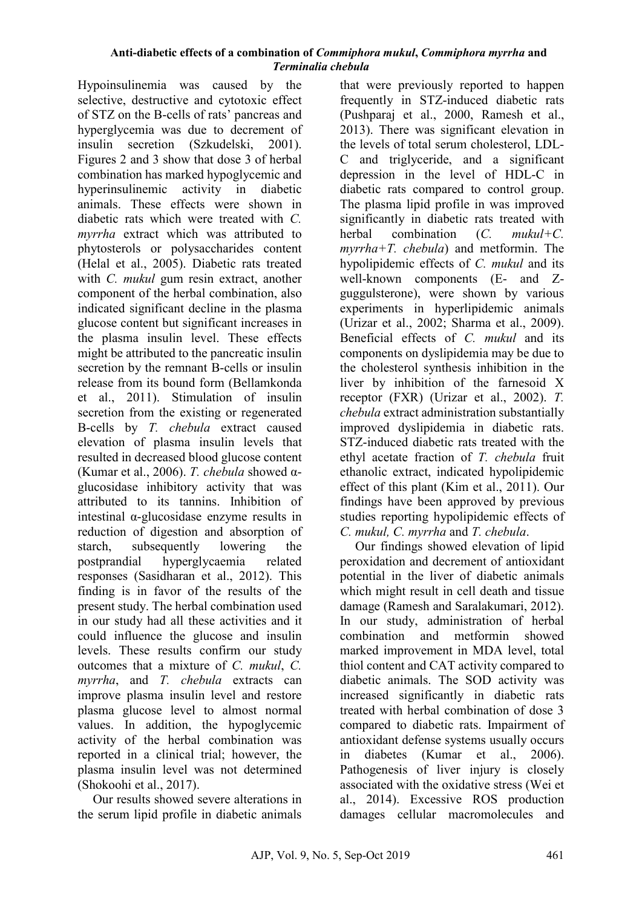Hypoinsulinemia was caused by the selective, destructive and cytotoxic effect of STZ on the B-cells of rats' pancreas and hyperglycemia was due to decrement of insulin secretion (Szkudelski, 2001). Figures 2 and 3 show that dose 3 of herbal combination has marked hypoglycemic and hyperinsulinemic activity in diabetic animals. These effects were shown in diabetic rats which were treated with *C. myrrha* extract which was attributed to phytosterols or polysaccharides content (Helal et al., 2005). Diabetic rats treated with *C. mukul* gum resin extract, another component of the herbal combination, also indicated significant decline in the plasma glucose content but significant increases in the plasma insulin level. These effects might be attributed to the pancreatic insulin secretion by the remnant B-cells or insulin release from its bound form (Bellamkonda et al., 2011). Stimulation of insulin secretion from the existing or regenerated B-cells by *T. chebula* extract caused elevation of plasma insulin levels that resulted in decreased blood glucose content (Kumar et al., 2006). *T. chebula* showed αglucosidase inhibitory activity that was attributed to its tannins. Inhibition of intestinal α-glucosidase enzyme results in reduction of digestion and absorption of starch, subsequently lowering the postprandial hyperglycaemia related responses (Sasidharan et al., 2012). This finding is in favor of the results of the present study. The herbal combination used in our study had all these activities and it could influence the glucose and insulin levels. These results confirm our study outcomes that a mixture of *C. mukul*, *C. myrrha*, and *T. chebula* extracts can improve plasma insulin level and restore plasma glucose level to almost normal values. In addition, the hypoglycemic activity of the herbal combination was reported in a clinical trial; however, the plasma insulin level was not determined (Shokoohi et al., 2017).

Our results showed severe alterations in the serum lipid profile in diabetic animals

that were previously reported to happen frequently in STZ-induced diabetic rats (Pushparaj et al., 2000, Ramesh et al., 2013). There was significant elevation in the levels of total serum cholesterol, LDL-C and triglyceride, and a significant depression in the level of HDL-C in diabetic rats compared to control group. The plasma lipid profile in was improved significantly in diabetic rats treated with herbal combination (*C. mukul+C. myrrha+T. chebula*) and metformin. The hypolipidemic effects of *C. mukul* and its well-known components (E- and Zguggulsterone), were shown by various experiments in hyperlipidemic animals (Urizar et al., 2002; Sharma et al., 2009). Beneficial effects of *C. mukul* and its components on dyslipidemia may be due to the cholesterol synthesis inhibition in the liver by inhibition of the farnesoid X receptor (FXR) (Urizar et al., 2002). *T. chebula* extract administration substantially improved dyslipidemia in diabetic rats. STZ-induced diabetic rats treated with the ethyl acetate fraction of *T. chebula* fruit ethanolic extract, indicated hypolipidemic effect of this plant (Kim et al., 2011). Our findings have been approved by previous studies reporting hypolipidemic effects of *C. mukul, C. myrrha* and *T. chebula*.

Our findings showed elevation of lipid peroxidation and decrement of antioxidant potential in the liver of diabetic animals which might result in cell death and tissue damage (Ramesh and Saralakumari, 2012). In our study, administration of herbal combination and metformin showed marked improvement in MDA level, total thiol content and CAT activity compared to diabetic animals. The SOD activity was increased significantly in diabetic rats treated with herbal combination of dose 3 compared to diabetic rats. Impairment of antioxidant defense systems usually occurs in diabetes (Kumar et al., 2006). Pathogenesis of liver injury is closely associated with the oxidative stress (Wei et al., 2014). Excessive ROS production damages cellular macromolecules and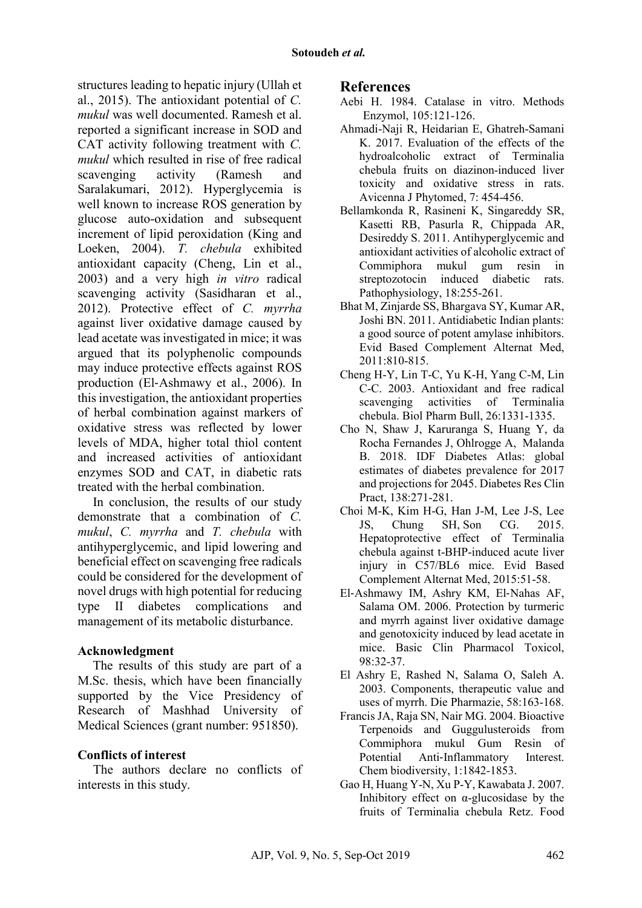structures leading to hepatic injury (Ullah et al., 2015). The antioxidant potential of *C. mukul* was well documented. Ramesh et al. reported a significant increase in SOD and CAT activity following treatment with *C. mukul* which resulted in rise of free radical scavenging activity (Ramesh and Saralakumari, 2012). Hyperglycemia is well known to increase ROS generation by glucose auto-oxidation and subsequent increment of lipid peroxidation (King and Loeken, 2004). *T. chebula* exhibited antioxidant capacity (Cheng, Lin et al., 2003) and a very high *in vitro* radical scavenging activity (Sasidharan et al., 2012). Protective effect of *C. myrrha* against liver oxidative damage caused by lead acetate was investigated in mice; it was argued that its polyphenolic compounds may induce protective effects against ROS production (El‐Ashmawy et al., 2006). In thisinvestigation, the antioxidant properties of herbal combination against markers of oxidative stress was reflected by lower levels of MDA, higher total thiol content and increased activities of antioxidant enzymes SOD and CAT, in diabetic rats treated with the herbal combination.

In conclusion, the results of our study demonstrate that a combination of *C. mukul*, *C. myrrha* and *T. chebula* with antihyperglycemic, and lipid lowering and beneficial effect on scavenging free radicals could be considered for the development of novel drugs with high potential for reducing type II diabetes complications and management of its metabolic disturbance.

### **Acknowledgment**

The results of this study are part of a M.Sc. thesis, which have been financially supported by the Vice Presidency of Research of Mashhad University of Medical Sciences (grant number: 951850).

### **Conflicts of interest**

The authors declare no conflicts of interests in this study.

### **References**

- <span id="page-8-0"></span>Aebi H. 1984. Catalase in vitro. Methods Enzymol, 105:121-126.
- Ahmadi-Naji R, Heidarian E, Ghatreh-Samani K. 2017. Evaluation of the effects of the hydroalcoholic extract of Terminalia chebula fruits on diazinon-induced liver toxicity and oxidative stress in rats. Avicenna J Phytomed, 7: 454-456.
- Bellamkonda R, Rasineni K, Singareddy SR, Kasetti RB, Pasurla R, Chippada AR, [Desireddy S.](https://www.ncbi.nlm.nih.gov/pubmed/?term=Desireddy%20S%5BAuthor%5D&cauthor=true&cauthor_uid=21767936) 2011. Antihyperglycemic and antioxidant activities of alcoholic extract of Commiphora mukul gum resin in streptozotocin induced diabetic rats. Pathophysiology, 18:255-261.
- Bhat M, Zinjarde SS, Bhargava SY, Kumar AR, Joshi BN. 2011. Antidiabetic Indian plants: a good source of potent amylase inhibitors. Evid Based Complement Alternat Med, 2011:810-815.
- Cheng H-Y, Lin T-C, Yu K-H, Yang C-M, Lin C-C. 2003. Antioxidant and free radical scavenging activities of Terminalia chebula. Biol Pharm Bull, 26:1331-1335.
- Cho N, Shaw J, Karuranga S, Huang Y, da Rocha Fernandes J, Ohlrogge A, [Malanda](https://www.ncbi.nlm.nih.gov/pubmed/?term=Malanda%20B%5BAuthor%5D&cauthor=true&cauthor_uid=29496507)  [B.](https://www.ncbi.nlm.nih.gov/pubmed/?term=Malanda%20B%5BAuthor%5D&cauthor=true&cauthor_uid=29496507) 2018. IDF Diabetes Atlas: global estimates of diabetes prevalence for 2017 and projections for 2045. Diabetes Res Clin Pract, 138:271-281.
- Choi M-K, Kim H-G, Han J-M, Lee J-S, Lee JS, Chung SH, [Son CG.](https://www.ncbi.nlm.nih.gov/pubmed/?term=Son%20CG%5BAuthor%5D&cauthor=true&cauthor_uid=25691908) 2015. Hepatoprotective effect of Terminalia chebula against t-BHP-induced acute liver injury in C57/BL6 mice. Evid Based Complement Alternat Med, 2015:51-58.
- El‐Ashmawy IM, Ashry KM, El‐Nahas AF, Salama OM. 2006. Protection by turmeric and myrrh against liver oxidative damage and genotoxicity induced by lead acetate in mice. Basic Clin Pharmacol Toxicol, 98:32-37.
- El Ashry E, Rashed N, Salama O, Saleh A. 2003. Components, therapeutic value and uses of myrrh. Die Pharmazie, 58:163-168.
- Francis JA, Raja SN, Nair MG. 2004. Bioactive Terpenoids and Guggulusteroids from Commiphora mukul Gum Resin of Potential Anti‐Inflammatory Interest. Chem biodiversity, 1:1842-1853.
- Gao H, Huang Y-N, Xu P-Y, Kawabata J. 2007. Inhibitory effect on  $\alpha$ -glucosidase by the fruits of Terminalia chebula Retz. Food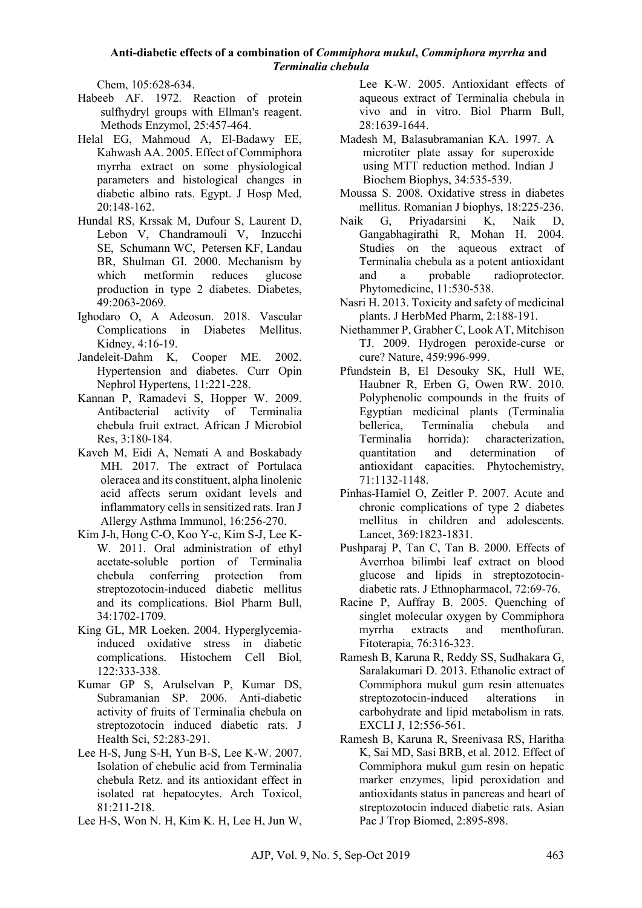Chem, 105:628-634.

- <span id="page-9-1"></span>Habeeb AF. 1972. Reaction of protein sulfhydryl groups with Ellman's reagent. Methods Enzymol, 25:457-464.
- Helal EG, Mahmoud A, El-Badawy EE, Kahwash AA. 2005. Effect of Commiphora myrrha extract on some physiological parameters and histological changes in diabetic albino rats. Egypt. J Hosp Med, 20:148-162.
- Hundal RS, Krssak M, Dufour S, Laurent D, Lebon V, Chandramouli V, [Inzucchi](https://www.ncbi.nlm.nih.gov/pubmed/?term=Inzucchi%20SE%5BAuthor%5D&cauthor=true&cauthor_uid=11118008)  [SE,](https://www.ncbi.nlm.nih.gov/pubmed/?term=Inzucchi%20SE%5BAuthor%5D&cauthor=true&cauthor_uid=11118008) [Schumann WC,](https://www.ncbi.nlm.nih.gov/pubmed/?term=Schumann%20WC%5BAuthor%5D&cauthor=true&cauthor_uid=11118008) [Petersen KF,](https://www.ncbi.nlm.nih.gov/pubmed/?term=Petersen%20KF%5BAuthor%5D&cauthor=true&cauthor_uid=11118008) [Landau](https://www.ncbi.nlm.nih.gov/pubmed/?term=Landau%20BR%5BAuthor%5D&cauthor=true&cauthor_uid=11118008)  [BR,](https://www.ncbi.nlm.nih.gov/pubmed/?term=Landau%20BR%5BAuthor%5D&cauthor=true&cauthor_uid=11118008) [Shulman GI.](https://www.ncbi.nlm.nih.gov/pubmed/?term=Shulman%20GI%5BAuthor%5D&cauthor=true&cauthor_uid=11118008) 2000. Mechanism by which metformin reduces glucose production in type 2 diabetes. Diabetes, 49:2063-2069.
- Ighodaro O, A Adeosun. 2018. Vascular Complications in Diabetes Mellitus. Kidney, 4:16-19.
- Jandeleit-Dahm K, Cooper ME. 2002. Hypertension and diabetes. Curr Opin Nephrol Hypertens, 11:221-228.
- Kannan P, Ramadevi S, Hopper W. 2009. Antibacterial activity of Terminalia chebula fruit extract. African J Microbiol Res, 3:180-184.
- <span id="page-9-0"></span>Kaveh M, Eidi A, Nemati A and Boskabady MH. 2017. The extract of Portulaca oleracea and its constituent, alpha linolenic acid affects serum oxidant levels and inflammatory cells in sensitized rats. Iran J Allergy Asthma Immunol, 16:256-270.
- Kim J-h, Hong C-O, Koo Y-c, Kim S-J, Lee K-W. 2011. Oral administration of ethyl acetate-soluble portion of Terminalia chebula conferring protection from streptozotocin-induced diabetic mellitus and its complications. Biol Pharm Bull, 34:1702-1709.
- King GL, MR Loeken. 2004. Hyperglycemiainduced oxidative stress in diabetic complications. Histochem Cell Biol, 122:333-338.
- Kumar GP S, Arulselvan P, Kumar DS, Subramanian SP. 2006. Anti-diabetic activity of fruits of Terminalia chebula on streptozotocin induced diabetic rats. J Health Sci, 52:283-291.
- Lee H-S, Jung S-H, Yun B-S, Lee K-W. 2007. Isolation of chebulic acid from Terminalia chebula Retz. and its antioxidant effect in isolated rat hepatocytes. Arch Toxicol, 81:211-218.
- Lee H-S, Won N. H, Kim K. H, Lee H, Jun W,

Lee K-W. 2005. Antioxidant effects of aqueous extract of Terminalia chebula in vivo and in vitro. Biol Pharm Bull, 28:1639-1644.

- <span id="page-9-2"></span>Madesh M, Balasubramanian KA. 1997. A microtiter plate assay for superoxide using MTT reduction method. Indian J Biochem Biophys, 34:535-539.
- Moussa S. 2008. Oxidative stress in diabetes mellitus. Romanian J biophys, 18:225-236.
- Naik G, Priyadarsini K, Naik D, Gangabhagirathi R, Mohan H. 2004. Studies on the aqueous extract of Terminalia chebula as a potent antioxidant and a probable radioprotector. Phytomedicine, 11:530-538.
- Nasri H. 2013. Toxicity and safety of medicinal plants. J HerbMed Pharm, 2:188-191.
- Niethammer P, Grabher C, Look AT, Mitchison TJ. 2009. Hydrogen peroxide-curse or cure? Nature, 459:996-999.
- Pfundstein B, El Desouky SK, Hull WE, Haubner R, Erben G, Owen RW. 2010. Polyphenolic compounds in the fruits of Egyptian medicinal plants (Terminalia bellerica, Terminalia chebula and Terminalia horrida): characterization, quantitation and determination of antioxidant capacities. Phytochemistry, 71:1132-1148.
- Pinhas-Hamiel O, Zeitler P. 2007. Acute and chronic complications of type 2 diabetes mellitus in children and adolescents. Lancet, 369:1823-1831.
- Pushparaj P, Tan C, Tan B. 2000. Effects of Averrhoa bilimbi leaf extract on blood glucose and lipids in streptozotocindiabetic rats. J Ethnopharmacol, 72:69-76.
- Racine P, Auffray B. 2005. Quenching of singlet molecular oxygen by Commiphora myrrha extracts and menthofuran. Fitoterapia, 76:316-323.
- Ramesh B, Karuna R, Reddy SS, Sudhakara G, Saralakumari D. 2013. Ethanolic extract of Commiphora mukul gum resin attenuates streptozotocin-induced alterations in carbohydrate and lipid metabolism in rats. EXCLI J, 12:556-561.
- Ramesh B, Karuna R, Sreenivasa RS, Haritha K, Sai MD, Sasi BRB, et al. 2012. Effect of Commiphora mukul gum resin on hepatic marker enzymes, lipid peroxidation and antioxidants status in pancreas and heart of streptozotocin induced diabetic rats. Asian Pac J Trop Biomed, 2:895-898.